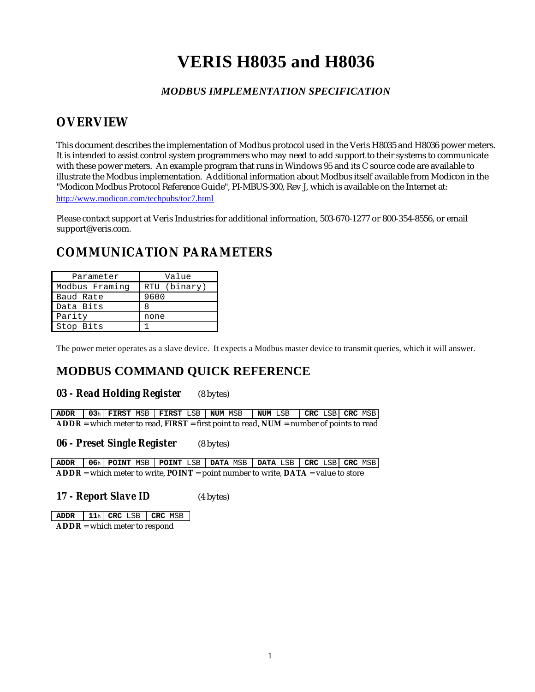# **VERIS H8035 and H8036**

### *MODBUS IMPLEMENTATION SPECIFICATION*

## **OVERVIEW**

This document describes the implementation of Modbus protocol used in the Veris H8035 and H8036 power meters. It is intended to assist control system programmers who may need to add support to their systems to communicate with these power meters. An example program that runs in Windows 95 and its C source code are available to illustrate the Modbus implementation. Additional information about Modbus itself available from Modicon in the "Modicon Modbus Protocol Reference Guide", PI-MBUS-300, Rev J, which is available on the Internet at: http://www.modicon.com/techpubs/toc7.html

Please contact support at Veris Industries for additional information, 503-670-1277 or 800-354-8556, or email support@veris.com.

# **COMMUNICATION PARAMETERS**

| Parameter      | Value        |  |  |
|----------------|--------------|--|--|
| Modbus Framing | RTU (binary) |  |  |
| Baud Rate      | 9600         |  |  |
| Data Bits      |              |  |  |
| Parity         | none         |  |  |
| Stop Bits      |              |  |  |

The power meter operates as a slave device. It expects a Modbus master device to transmit queries, which it will answer.

# **MODBUS COMMAND QUICK REFERENCE**

#### *03 - Read Holding Register* (8 bytes)

**ADDR 03**<sup>h</sup> **FIRST** MSB **FIRST** LSB **NUM** MSB **NUM** LSB **CRC** LSB **CRC** MSB **ADDR** = which meter to read, **FIRST** = first point to read, **NUM** = number of points to read

#### *06 - Preset Single Register* (8 bytes)

**ADDR 06**<sup>h</sup> **POINT** MSB **POINT** LSB **DATA** MSB **DATA** LSB **CRC** LSB **CRC** MSB **ADDR** = which meter to write, **POINT** = point number to write, **DATA** = value to store

*17 - Report Slave ID* (4 bytes)

**ADDR 11**<sup>h</sup> **CRC** LSB **CRC** MSB **ADDR** = which meter to respond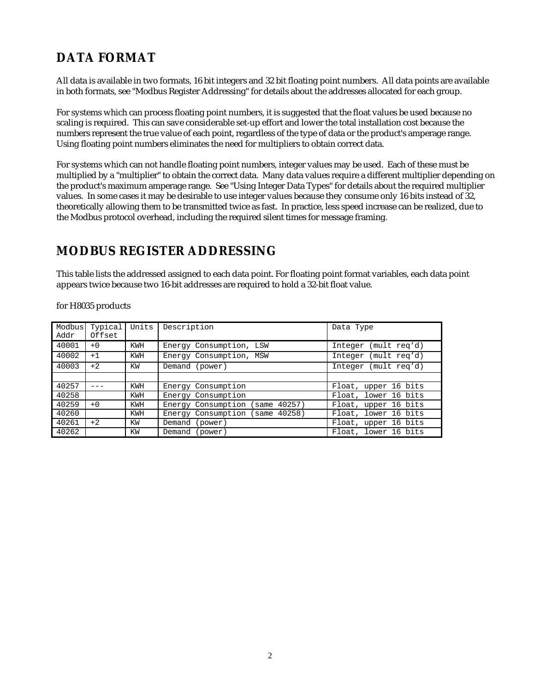# **DATA FORMAT**

All data is available in two formats, 16 bit integers and 32 bit floating point numbers. All data points are available in both formats, see "Modbus Register Addressing" for details about the addresses allocated for each group.

For systems which can process floating point numbers, it is suggested that the float values be used because no scaling is required. This can save considerable set-up effort and lower the total installation cost because the numbers represent the true value of each point, regardless of the type of data or the product's amperage range. Using floating point numbers eliminates the need for multipliers to obtain correct data.

For systems which can not handle floating point numbers, integer values may be used. Each of these must be multiplied by a "multiplier" to obtain the correct data. Many data values require a different multiplier depending on the product's maximum amperage range. See "Using Integer Data Types" for details about the required multiplier values. In some cases it may be desirable to use integer values because they consume only 16 bits instead of 32, theoretically allowing them to be transmitted twice as fast. In practice, less speed increase can be realized, due to the Modbus protocol overhead, including the required silent times for message framing.

### **MODBUS REGISTER ADDRESSING**

This table lists the addressed assigned to each data point. For floating point format variables, each data point appears twice because two 16-bit addresses are required to hold a 32-bit float value.

| Modbus<br>Addr | Typical<br>Offset | Units      | Description                                        | Data Type            |
|----------------|-------------------|------------|----------------------------------------------------|----------------------|
| 40001          | $+0$              | <b>KWH</b> | Energy Consumption, LSW                            | Integer (mult reg'd) |
| 40002          | $+1$              | <b>KWH</b> | Energy Consumption, MSW<br>(mult reg'd)<br>Integer |                      |
| 40003          | $+2$              | KW         | Demand (power)                                     | Integer (mult reg'd) |
|                |                   |            |                                                    |                      |
| 40257          |                   | <b>KWH</b> | Energy Consumption                                 | Float, upper 16 bits |
| 40258          |                   | <b>KWH</b> | Energy Consumption                                 | Float, lower 16 bits |
| 40259          | $+0$              | <b>KWH</b> | Energy Consumption (same 40257)                    | Float, upper 16 bits |
| 40260          |                   | <b>KWH</b> | Energy Consumption (same 40258)                    | Float, lower 16 bits |
| 40261          | $+2$              | KW         | Demand (power)                                     | Float, upper 16 bits |
| 40262          |                   | ΚW         | (power)<br>Demand                                  | Float, lower 16 bits |

#### for H8035 products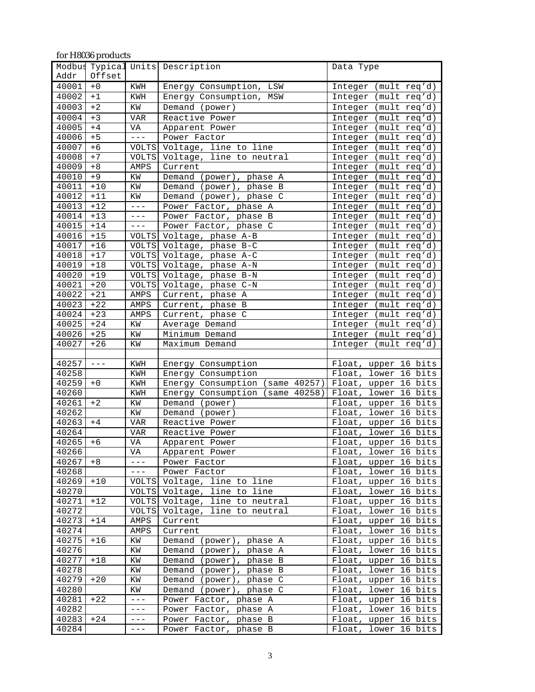| for H8036 products |                      |                     |                                    |                         |  |  |
|--------------------|----------------------|---------------------|------------------------------------|-------------------------|--|--|
|                    | Modbus Typical Units |                     | Description                        | Data Type               |  |  |
| Addr               | Offset               |                     |                                    |                         |  |  |
| 40001              | $+0$                 | KWH                 | LSW<br>Energy Consumption,         | Integer<br>(mult req'd) |  |  |
| 40002              | $+1$                 | KWH                 | Energy Consumption,<br>MSW         | Integer<br>(mult req'd) |  |  |
| 40003              | $+2$                 | KW                  | Demand (power)                     | Integer<br>(mult req'd) |  |  |
| 40004              | $+3$                 | <b>VAR</b>          | Reactive Power                     | Integer<br>(mult req'd) |  |  |
| 40005              | $+4$                 | VA                  | Apparent Power                     | Integer (mult req'd)    |  |  |
| 40006              | $+5$                 | $---$               | Power Factor                       | Integer (mult req'd)    |  |  |
| 40007              | $+6$                 | <b>VOLTS</b>        | Voltage, line to line              | Integer (mult req'd)    |  |  |
| 40008              | $+7$                 |                     | VOLTS Voltage, line to neutral     | (mult req'd)<br>Integer |  |  |
| 40009              | $+8$                 | AMPS                | Current                            | Integer (mult req'd)    |  |  |
| 40010              | $+9$                 | KW                  | Demand (power), phase A            | (mult req'd)<br>Integer |  |  |
| 40011              | $+10$                | KW                  | Demand (power),<br>phase B         | (mult req'd)<br>Integer |  |  |
| 40012              | $+11$                | ΚW                  | Demand<br>(power),<br>phase C      | (mult req'd)<br>Integer |  |  |
| 40013              | $+12$                | $---$               | Power Factor, phase A              | Integer (mult req'd)    |  |  |
| 40014              | $+13$                | $---$               | Power Factor, phase B              | Integer (mult req'd)    |  |  |
| 40015              | $+14$                | $---$               | Power Factor, phase C              | Integer (mult req'd)    |  |  |
| 40016              | $+15$                |                     | VOLTS Voltage, phase A-B           | Integer (mult req'd)    |  |  |
| 40017              | $+16$                |                     | VOLTS Voltage, phase B-C           | Integer (mult req'd)    |  |  |
| 40018              | $+17$                | VOLTS               | Voltage, phase A-C                 | (mult req'd)<br>Integer |  |  |
| 40019              | $+18$                | <b>VOLTS</b>        | Voltage, phase A-N                 | (mult req'd)<br>Integer |  |  |
| 40020              | $+19$                | VOLTS               | Voltage, phase B-N                 | (mult req'd)<br>Integer |  |  |
| 40021              | $+20$                |                     | VOLTS Voltage, phase C-N           | Integer (mult req'd)    |  |  |
| 40022              | $+21$                | AMPS                | Current, phase A                   | Integer (mult req'd)    |  |  |
| 40023              | $+22$                | AMPS                | Current, phase B                   | Integer (mult req'd)    |  |  |
| 40024              | $+23$                | AMPS                | Current, phase C                   | (mult req'd)<br>Integer |  |  |
| 40025              | $+24$                | KW                  | Average Demand                     | Integer (mult req'd)    |  |  |
| 40026              | $+25$                | ΚW                  | Minimum Demand                     | (mult req'd)<br>Integer |  |  |
| 40027              | $+26$                | ΚW                  | Maximum Demand                     | (mult req'd)<br>Integer |  |  |
|                    |                      |                     |                                    |                         |  |  |
| 40257              | $---$                | KWH                 | Energy Consumption                 | Float, upper 16 bits    |  |  |
| 40258              |                      | KWH                 | Energy Consumption                 | lower 16 bits<br>Float, |  |  |
| 40259              | $+0$                 | KWH                 | Energy Consumption (same 40257)    | Float, upper 16 bits    |  |  |
| 40260              |                      | KWH                 | (same 40258)<br>Energy Consumption | Float, lower 16 bits    |  |  |
| 40261              | $+2$                 | ΚW                  | Demand (power)                     | Float, upper 16 bits    |  |  |
| 40262              |                      | ΚW                  | Demand (power)                     | Float, lower<br>16 bits |  |  |
| 40263              | $+4$                 | <b>VAR</b>          | Reactive Power                     | Float, upper 16 bits    |  |  |
| 40264              |                      | <b>VAR</b>          | Reactive Power                     | lower 16 bits<br>Float, |  |  |
| 40265              | $+6$                 | VA                  | Apparent Power                     | Float, upper 16 bits    |  |  |
| 40266              |                      | VA                  | Apparent Power                     | Float, lower 16 bits    |  |  |
| 40267              | $+8$                 | $---$               | Power Factor                       | Float, upper 16 bits    |  |  |
| 40268              |                      | $- - - \,$          | Power Factor                       | Float, lower 16 bits    |  |  |
| 40269              | $+10$                |                     | VOLTS Voltage, line to line        | Float, upper 16 bits    |  |  |
| 40270              |                      |                     | VOLTS Voltage, line to line        | Float, lower 16 bits    |  |  |
| 40271              | $+12$                | <b>VOLTS</b>        | Voltage, line to neutral           | Float, upper 16 bits    |  |  |
| 40272              |                      | VOLTS               | Voltage, line to neutral           | Float, lower 16 bits    |  |  |
| 40273              | $+14$                | AMPS                | Current                            | Float, upper 16 bits    |  |  |
| 40274              |                      | AMPS                | Current                            | Float, lower 16 bits    |  |  |
| 40275              | $+16$                | KW                  | Demand (power), phase A            | Float, upper 16 bits    |  |  |
| 40276              |                      | KW                  | Demand (power), phase A            | Float, lower 16 bits    |  |  |
| 40277              | $+18$                | KW                  | Demand (power), phase B            | Float, upper 16 bits    |  |  |
| 40278              |                      | ΚW                  | Demand (power), phase B            | Float, lower 16 bits    |  |  |
| 40279              | $+20$                | ΚW                  | Demand (power), phase C            | Float, upper 16 bits    |  |  |
| 40280              |                      | ΚW                  | Demand (power),<br>phase C         | Float, lower 16 bits    |  |  |
| 40281              | $+22$                | $- - -$             | Power Factor, phase A              | Float, upper 16 bits    |  |  |
| 40282              |                      | $- - -$             | Power Factor, phase A              | Float, lower 16 bits    |  |  |
| 40283              | $+24$                | $\qquad \qquad - -$ | Power Factor, phase B              | Float, upper 16 bits    |  |  |
|                    |                      | $- - -$             |                                    |                         |  |  |
| 40284              |                      |                     | Power Factor, phase B              | Float, lower 16 bits    |  |  |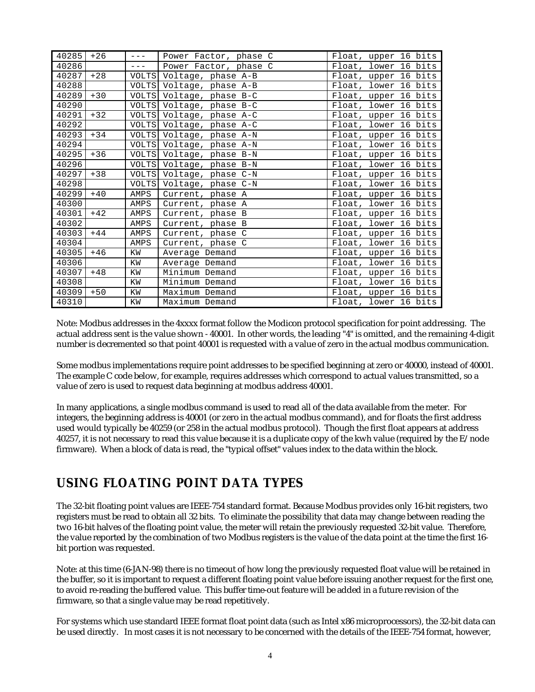| 40285 | $+26$ | $- - -$ | Power Factor, phase C    | Float, upper 16 bits |
|-------|-------|---------|--------------------------|----------------------|
| 40286 |       | $---$   | Power Factor, phase C    | Float, lower 16 bits |
| 40287 | $+28$ |         | VOLTS Voltage, phase A-B | Float, upper 16 bits |
| 40288 |       |         | VOLTS Voltage, phase A-B | Float, lower 16 bits |
| 40289 | $+30$ |         | VOLTS Voltage, phase B-C | Float, upper 16 bits |
| 40290 |       |         | VOLTS Voltage, phase B-C | Float, lower 16 bits |
| 40291 | $+32$ |         | VOLTS Voltage, phase A-C | Float, upper 16 bits |
| 40292 |       |         | VOLTS Voltage, phase A-C | Float, lower 16 bits |
| 40293 | $+34$ |         | VOLTS Voltage, phase A-N | Float, upper 16 bits |
| 40294 |       |         | VOLTS Voltage, phase A-N | Float, lower 16 bits |
| 40295 | $+36$ |         | VOLTS Voltage, phase B-N | Float, upper 16 bits |
| 40296 |       |         | VOLTS Voltage, phase B-N | Float, lower 16 bits |
| 40297 | $+38$ |         | VOLTS Voltage, phase C-N | Float, upper 16 bits |
| 40298 |       |         | VOLTS Voltage, phase C-N | Float, lower 16 bits |
| 40299 | $+40$ | AMPS    | Current, phase A         | Float, upper 16 bits |
| 40300 |       | AMPS    | Current, phase A         | Float, lower 16 bits |
| 40301 | $+42$ | AMPS    | Current, phase B         | Float, upper 16 bits |
| 40302 |       | AMPS    | Current, phase B         | Float, lower 16 bits |
| 40303 | $+44$ | AMPS    | Current, phase C         | Float, upper 16 bits |
| 40304 |       | AMPS    | Current, phase C         | Float, lower 16 bits |
| 40305 | $+46$ | KW      | Average Demand           | Float, upper 16 bits |
| 40306 |       | KW      | Average Demand           | Float, lower 16 bits |
| 40307 | $+48$ | KW      | Minimum Demand           | Float, upper 16 bits |
| 40308 |       | KW      | Minimum Demand           | Float, lower 16 bits |
| 40309 | $+50$ | KW      | Maximum Demand           | Float, upper 16 bits |
| 40310 |       | ΚW      | Maximum Demand           | Float, lower 16 bits |

Note: Modbus addresses in the 4xxxx format follow the Modicon protocol specification for point addressing. The actual address sent is the value shown - 40001. In other words, the leading "4" is omitted, and the remaining 4-digit number is decremented so that point 40001 is requested with a value of zero in the actual modbus communication.

Some modbus implementations require point addresses to be specified beginning at zero or 40000, instead of 40001. The example C code below, for example, requires addresses which correspond to actual values transmitted, so a value of zero is used to request data beginning at modbus address 40001.

In many applications, a single modbus command is used to read all of the data available from the meter. For integers, the beginning address is 40001 (or zero in the actual modbus command), and for floats the first address used would typically be 40259 (or 258 in the actual modbus protocol). Though the first float appears at address 40257, it is not necessary to read this value because it is a duplicate copy of the kwh value (required by the E/node firmware). When a block of data is read, the "typical offset" values index to the data within the block.

### **USING FLOATING POINT DATA TYPES**

The 32-bit floating point values are IEEE-754 standard format. Because Modbus provides only 16-bit registers, two registers must be read to obtain all 32 bits. To eliminate the possibility that data may change between reading the two 16-bit halves of the floating point value, the meter will retain the previously requested 32-bit value. Therefore, the value reported by the combination of two Modbus registers is the value of the data point at the time the first 16 bit portion was requested.

Note: at this time (6-JAN-98) there is no timeout of how long the previously requested float value will be retained in the buffer, so it is important to request a different floating point value before issuing another request for the first one, to avoid re-reading the buffered value. This buffer time-out feature will be added in a future revision of the firmware, so that a single value may be read repetitively.

For systems which use standard IEEE format float point data (such as Intel x86 microprocessors), the 32-bit data can be used directly. In most cases it is not necessary to be concerned with the details of the IEEE-754 format, however,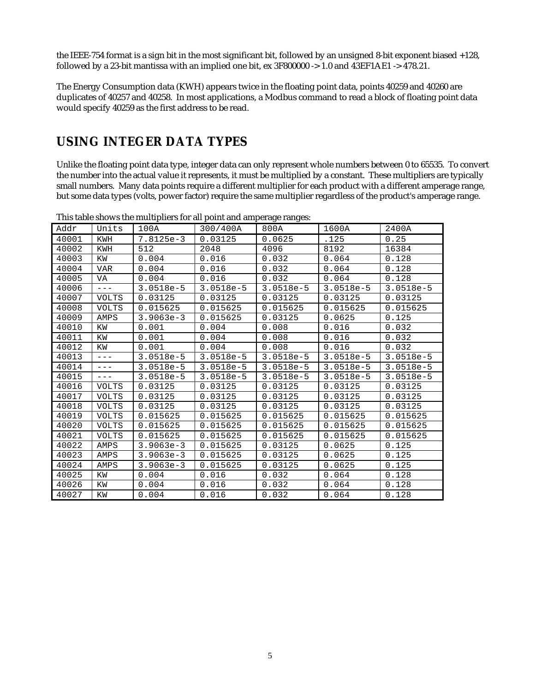the IEEE-754 format is a sign bit in the most significant bit, followed by an unsigned 8-bit exponent biased +128, followed by a 23-bit mantissa with an implied one bit, ex  $3F800000 \rightarrow 1.0$  and  $43EF1AE1 \rightarrow 478.21$ .

The Energy Consumption data (KWH) appears twice in the floating point data, points 40259 and 40260 are duplicates of 40257 and 40258. In most applications, a Modbus command to read a block of floating point data would specify 40259 as the first address to be read.

### **USING INTEGER DATA TYPES**

Unlike the floating point data type, integer data can only represent whole numbers between 0 to 65535. To convert the number into the actual value it represents, it must be multiplied by a constant. These multipliers are typically small numbers. Many data points require a different multiplier for each product with a different amperage range, but some data types (volts, power factor) require the same multiplier regardless of the product's amperage range.

| Addr  | Units        | 100A        | 300/400A    | 800A        | 1600A       | 2400A       |
|-------|--------------|-------------|-------------|-------------|-------------|-------------|
| 40001 | KWH          | 7.8125e-3   | 0.03125     | 0.0625      | .125        | 0.25        |
| 40002 | KWH          | 512         | 2048        | 4096        | 8192        | 16384       |
| 40003 | KW           | 0.004       | 0.016       | 0.032       | 0.064       | 0.128       |
| 40004 | VAR          | 0.004       | 0.016       | 0.032       | 0.064       | 0.128       |
| 40005 | VA           | 0.004       | 0.016       | 0.032       | 0.064       | 0.128       |
| 40006 | $---$        | $3.0518e-5$ | $3.0518e-5$ | $3.0518e-5$ | $3.0518e-5$ | $3.0518e-5$ |
| 40007 | <b>VOLTS</b> | 0.03125     | 0.03125     | 0.03125     | 0.03125     | 0.03125     |
| 40008 | <b>VOLTS</b> | 0.015625    | 0.015625    | 0.015625    | 0.015625    | 0.015625    |
| 40009 | AMPS         | $3.9063e-3$ | 0.015625    | 0.03125     | 0.0625      | 0.125       |
| 40010 | KW           | 0.001       | 0.004       | 0.008       | 0.016       | 0.032       |
| 40011 | ΚW           | 0.001       | 0.004       | 0.008       | 0.016       | 0.032       |
| 40012 | ΚW           | 0.001       | 0.004       | 0.008       | 0.016       | 0.032       |
| 40013 | $---$        | $3.0518e-5$ | $3.0518e-5$ | $3.0518e-5$ | $3.0518e-5$ | $3.0518e-5$ |
| 40014 | $---$        | $3.0518e-5$ | $3.0518e-5$ | $3.0518e-5$ | $3.0518e-5$ | $3.0518e-5$ |
| 40015 | $---$        | $3.0518e-5$ | $3.0518e-5$ | $3.0518e-5$ | $3.0518e-5$ | $3.0518e-5$ |
| 40016 | <b>VOLTS</b> | 0.03125     | 0.03125     | 0.03125     | 0.03125     | 0.03125     |
| 40017 | <b>VOLTS</b> | 0.03125     | 0.03125     | 0.03125     | 0.03125     | 0.03125     |
| 40018 | VOLTS        | 0.03125     | 0.03125     | 0.03125     | 0.03125     | 0.03125     |
| 40019 | <b>VOLTS</b> | 0.015625    | 0.015625    | 0.015625    | 0.015625    | 0.015625    |
| 40020 | <b>VOLTS</b> | 0.015625    | 0.015625    | 0.015625    | 0.015625    | 0.015625    |
| 40021 | <b>VOLTS</b> | 0.015625    | 0.015625    | 0.015625    | 0.015625    | 0.015625    |
| 40022 | AMPS         | $3.9063e-3$ | 0.015625    | 0.03125     | 0.0625      | 0.125       |
| 40023 | AMPS         | $3.9063e-3$ | 0.015625    | 0.03125     | 0.0625      | 0.125       |
| 40024 | AMPS         | $3.9063e-3$ | 0.015625    | 0.03125     | 0.0625      | 0.125       |
| 40025 | KW           | 0.004       | 0.016       | 0.032       | 0.064       | 0.128       |
| 40026 | KW           | 0.004       | 0.016       | 0.032       | 0.064       | 0.128       |
| 40027 | ΚW           | 0.004       | 0.016       | 0.032       | 0.064       | 0.128       |

This table shows the multipliers for all point and amperage ranges: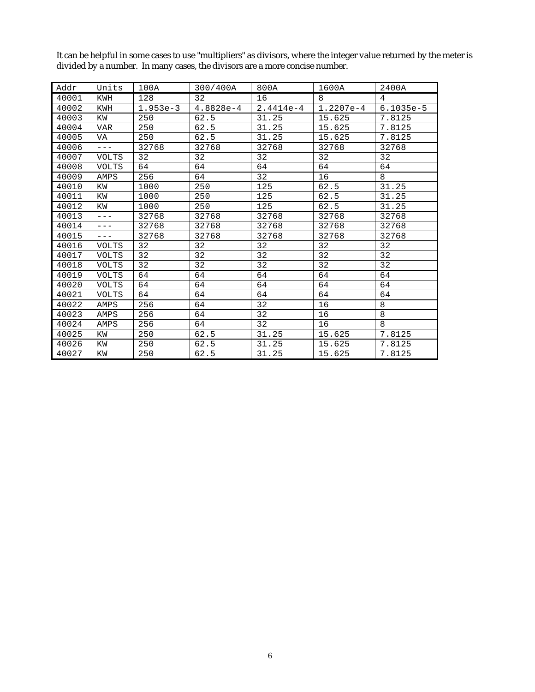| Addr  | Units        | 100A       | 300/400A  | 800A        | 1600A       | 2400A       |
|-------|--------------|------------|-----------|-------------|-------------|-------------|
| 40001 | KWH          | 128        | 32        | 16          | 8           | 4           |
| 40002 | KWH          | $1.953e-3$ | 4.8828e-4 | $2.4414e-4$ | $1.2207e-4$ | $6.1035e-5$ |
| 40003 | KW           | 250        | 62.5      | 31.25       | 15.625      | 7.8125      |
| 40004 | <b>VAR</b>   | 250        | 62.5      | 31.25       | 15.625      | 7.8125      |
| 40005 | VA           | 250        | 62.5      | 31.25       | 15.625      | 7.8125      |
| 40006 | $---$        | 32768      | 32768     | 32768       | 32768       | 32768       |
| 40007 | <b>VOLTS</b> | 32         | 32        | 32          | 32          | 32          |
| 40008 | <b>VOLTS</b> | 64         | 64        | 64          | 64          | 64          |
| 40009 | AMPS         | 256        | 64        | 32          | 16          | 8           |
| 40010 | KW           | 1000       | 250       | 125         | 62.5        | 31.25       |
| 40011 | KW           | 1000       | 250       | 125         | 62.5        | 31.25       |
| 40012 | ΚW           | 1000       | 250       | 125         | 62.5        | 31.25       |
| 40013 | $---$        | 32768      | 32768     | 32768       | 32768       | 32768       |
| 40014 | $---$        | 32768      | 32768     | 32768       | 32768       | 32768       |
| 40015 | $---$        | 32768      | 32768     | 32768       | 32768       | 32768       |
| 40016 | <b>VOLTS</b> | 32         | 32        | 32          | 32          | 32          |
| 40017 | <b>VOLTS</b> | 32         | 32        | 32          | 32          | 32          |
| 40018 | <b>VOLTS</b> | 32         | 32        | 32          | 32          | 32          |
| 40019 | <b>VOLTS</b> | 64         | 64        | 64          | 64          | 64          |
| 40020 | <b>VOLTS</b> | 64         | 64        | 64          | 64          | 64          |
| 40021 | <b>VOLTS</b> | 64         | 64        | 64          | 64          | 64          |
| 40022 | AMPS         | 256        | 64        | 32          | 16          | 8           |
| 40023 | AMPS         | 256        | 64        | 32          | 16          | 8           |
| 40024 | AMPS         | 256        | 64        | 32          | 16          | 8           |
| 40025 | ΚW           | 250        | 62.5      | 31.25       | 15.625      | 7.8125      |
| 40026 | ΚW           | 250        | 62.5      | 31.25       | 15.625      | 7.8125      |
| 40027 | ΚW           | 250        | 62.5      | 31.25       | 15.625      | 7.8125      |

It can be helpful in some cases to use "multipliers" as divisors, where the integer value returned by the meter is divided by a number. In many cases, the divisors are a more concise number.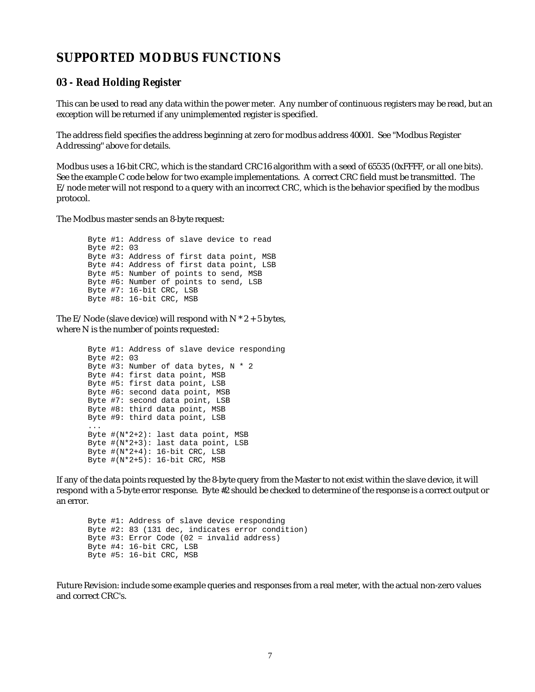### **SUPPORTED MODBUS FUNCTIONS**

#### *03 - Read Holding Register*

This can be used to read any data within the power meter. Any number of continuous registers may be read, but an exception will be returned if any unimplemented register is specified.

The address field specifies the address beginning at zero for modbus address 40001. See "Modbus Register Addressing" above for details.

Modbus uses a 16-bit CRC, which is the standard CRC16 algorithm with a seed of 65535 (0xFFFF, or all one bits). See the example C code below for two example implementations. A correct CRC field must be transmitted. The E/node meter will not respond to a query with an incorrect CRC, which is the behavior specified by the modbus protocol.

The Modbus master sends an 8-byte request:

Byte #1: Address of slave device to read Byte #2: 03 Byte #3: Address of first data point, MSB Byte #4: Address of first data point, LSB Byte #5: Number of points to send, MSB Byte #6: Number of points to send, LSB Byte #7: 16-bit CRC, LSB Byte #8: 16-bit CRC, MSB

The E/Node (slave device) will respond with  $N * 2 + 5$  bytes, where N is the number of points requested:

> Byte #1: Address of slave device responding Byte #2: 03 Byte #3: Number of data bytes, N \* 2 Byte #4: first data point, MSB Byte #5: first data point, LSB Byte #6: second data point, MSB Byte #7: second data point, LSB Byte #8: third data point, MSB Byte #9: third data point, LSB ... Byte #(N\*2+2): last data point, MSB Byte #(N\*2+3): last data point, LSB Byte  $\#(N^*2+4): 16$ -bit CRC, LSB Byte  $\#(N^*2+5): 16$ -bit CRC, MSB

If any of the data points requested by the 8-byte query from the Master to not exist within the slave device, it will respond with a 5-byte error response. Byte #2 should be checked to determine of the response is a correct output or an error.

Byte #1: Address of slave device responding Byte #2: 83 (131 dec, indicates error condition) Byte #3: Error Code (02 = invalid address) Byte #4: 16-bit CRC, LSB Byte #5: 16-bit CRC, MSB

Future Revision: include some example queries and responses from a real meter, with the actual non-zero values and correct CRC's.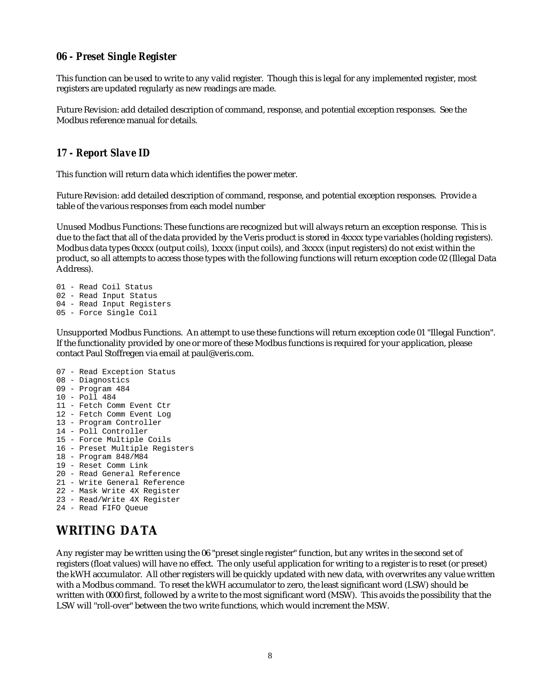#### *06 - Preset Single Register*

This function can be used to write to any valid register. Though this is legal for any implemented register, most registers are updated regularly as new readings are made.

Future Revision: add detailed description of command, response, and potential exception responses. See the Modbus reference manual for details.

#### *17 - Report Slave ID*

This function will return data which identifies the power meter.

Future Revision: add detailed description of command, response, and potential exception responses. Provide a table of the various responses from each model number

Unused Modbus Functions: These functions are recognized but will always return an exception response. This is due to the fact that all of the data provided by the Veris product is stored in 4xxxx type variables (holding registers). Modbus data types 0xxxx (output coils), 1xxxx (input coils), and 3xxxx (input registers) do not exist within the product, so all attempts to access those types with the following functions will return exception code 02 (Illegal Data Address).

01 - Read Coil Status 02 - Read Input Status 04 - Read Input Registers 05 - Force Single Coil

Unsupported Modbus Functions. An attempt to use these functions will return exception code 01 "Illegal Function". If the functionality provided by one or more of these Modbus functions is required for your application, please contact Paul Stoffregen via email at paul@veris.com.

07 - Read Exception Status 08 - Diagnostics 09 - Program 484 10 - Poll 484 11 - Fetch Comm Event Ctr 12 - Fetch Comm Event Log 13 - Program Controller 14 - Poll Controller 15 - Force Multiple Coils 16 - Preset Multiple Registers 18 - Program 848/M84 19 - Reset Comm Link 20 - Read General Reference 21 - Write General Reference 22 - Mask Write 4X Register 23 - Read/Write 4X Register 24 - Read FIFO Queue

# **WRITING DATA**

Any register may be written using the 06 "preset single register" function, but any writes in the second set of registers (float values) will have no effect. The only useful application for writing to a register is to reset (or preset) the kWH accumulator. All other registers will be quickly updated with new data, with overwrites any value written with a Modbus command. To reset the kWH accumulator to zero, the least significant word (LSW) should be written with 0000 first, followed by a write to the most significant word (MSW). This avoids the possibility that the LSW will "roll-over" between the two write functions, which would increment the MSW.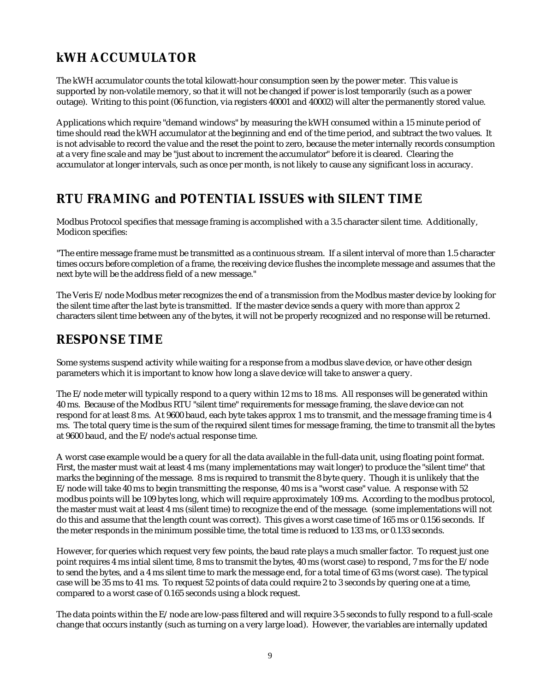# **kWH ACCUMULATOR**

The kWH accumulator counts the total kilowatt-hour consumption seen by the power meter. This value is supported by non-volatile memory, so that it will not be changed if power is lost temporarily (such as a power outage). Writing to this point (06 function, via registers 40001 and 40002) will alter the permanently stored value.

Applications which require "demand windows" by measuring the kWH consumed within a 15 minute period of time should read the kWH accumulator at the beginning and end of the time period, and subtract the two values. It is not advisable to record the value and the reset the point to zero, because the meter internally records consumption at a very fine scale and may be "just about to increment the accumulator" before it is cleared. Clearing the accumulator at longer intervals, such as once per month, is not likely to cause any significant loss in accuracy.

# **RTU FRAMING and POTENTIAL ISSUES with SILENT TIME**

Modbus Protocol specifies that message framing is accomplished with a 3.5 character silent time. Additionally, Modicon specifies:

"The entire message frame must be transmitted as a continuous stream. If a silent interval of more than 1.5 character times occurs before completion of a frame, the receiving device flushes the incomplete message and assumes that the next byte will be the address field of a new message."

The Veris E/node Modbus meter recognizes the end of a transmission from the Modbus master device by looking for the silent time after the last byte is transmitted. If the master device sends a query with more than approx 2 characters silent time between any of the bytes, it will not be properly recognized and no response will be returned.

# **RESPONSE TIME**

Some systems suspend activity while waiting for a response from a modbus slave device, or have other design parameters which it is important to know how long a slave device will take to answer a query.

The E/node meter will typically respond to a query within 12 ms to 18 ms. All responses will be generated within 40 ms. Because of the Modbus RTU "silent time" requirements for message framing, the slave device can not respond for at least 8 ms. At 9600 baud, each byte takes approx 1 ms to transmit, and the message framing time is 4 ms. The total query time is the sum of the required silent times for message framing, the time to transmit all the bytes at 9600 baud, and the E/node's actual response time.

A worst case example would be a query for all the data available in the full-data unit, using floating point format. First, the master must wait at least 4 ms (many implementations may wait longer) to produce the "silent time" that marks the beginning of the message. 8 ms is required to transmit the 8 byte query. Though it is unlikely that the E/node will take 40 ms to begin transmitting the response, 40 ms is a "worst case" value. A response with 52 modbus points will be 109 bytes long, which will require approximately 109 ms. According to the modbus protocol, the master must wait at least 4 ms (silent time) to recognize the end of the message. (some implementations will not do this and assume that the length count was correct). This gives a worst case time of 165 ms or 0.156 seconds. If the meter responds in the minimum possible time, the total time is reduced to 133 ms, or 0.133 seconds.

However, for queries which request very few points, the baud rate plays a much smaller factor. To request just one point requires 4 ms intial silent time, 8 ms to transmit the bytes, 40 ms (worst case) to respond, 7 ms for the E/node to send the bytes, and a 4 ms silent time to mark the message end, for a total time of 63 ms (worst case). The typical case will be 35 ms to 41 ms. To request 52 points of data could require 2 to 3 seconds by quering one at a time, compared to a worst case of 0.165 seconds using a block request.

The data points within the E/node are low-pass filtered and will require 3-5 seconds to fully respond to a full-scale change that occurs instantly (such as turning on a very large load). However, the variables are internally updated